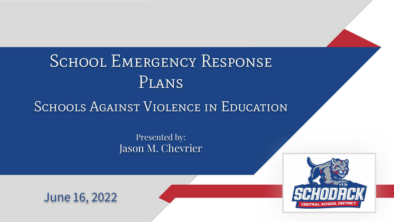# SCHOOL EMERGENCY RESPONSE Plans

## SCHOOLS AGAINST VIOLENCE IN EDUCATION

Presented by: Jason M. Chevrier



## June 16, 2022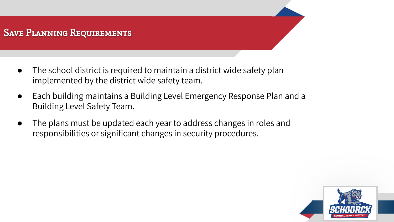## Save Planning Requirements

- The school district is required to maintain a district wide safety plan implemented by the district wide safety team.
- Each building maintains a Building Level Emergency Response Plan and a Building Level Safety Team.
- The plans must be updated each year to address changes in roles and responsibilities or significant changes in security procedures.

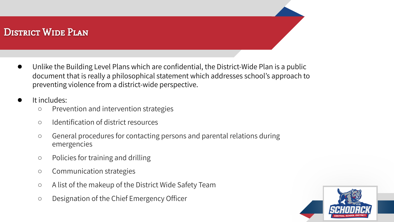## DISTRICT WIDE PLAN

Unlike the Building Level Plans which are confidential, the District-Wide Plan is a public document that is really a philosophical statement which addresses school's approach to preventing violence from a district-wide perspective.

#### It includes:

- Prevention and intervention strategies
- Identification of district resources
- General procedures for contacting persons and parental relations during emergencies
- Policies for training and drilling
- Communication strategies
- A list of the makeup of the District Wide Safety Team
- Designation of the Chief Emergency Officer

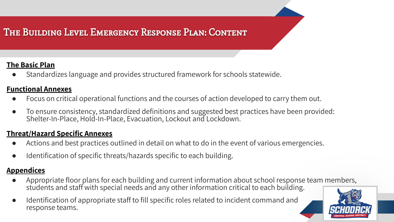## The Building Level Emergency Response Plan: Content

#### **The Basic Plan**

Standardizes language and provides structured framework for schools statewide.

#### **Functional Annexes**

- Focus on critical operational functions and the courses of action developed to carry them out.
- To ensure consistency, standardized definitions and suggested best practices have been provided: Shelter-In-Place, Hold-In-Place, Evacuation, Lockout and Lockdown.

#### **Threat/Hazard Specific Annexes**

- Actions and best practices outlined in detail on what to do in the event of various emergencies.
- Identification of specific threats/hazards specific to each building.

#### **Appendices**

- Appropriate floor plans for each building and current information about school response team members, students and staff with special needs and any other information critical to each building.
- Identification of appropriate staff to fill specific roles related to incident command and response teams.

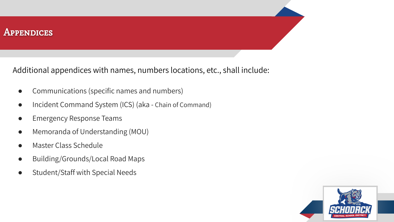#### **APPENDICES**

Additional appendices with names, numbers locations, etc., shall include:

- Communications (specific names and numbers)
- Incident Command System (ICS) (aka Chain of Command)
- **Emergency Response Teams**
- Memoranda of Understanding (MOU)
- Master Class Schedule
- Building/Grounds/Local Road Maps
- Student/Staff with Special Needs

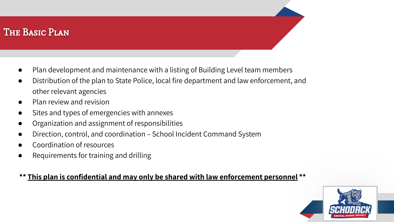## The Basic Plan

- Plan development and maintenance with a listing of Building Level team members
- Distribution of the plan to State Police, local fire department and law enforcement, and other relevant agencies
- Plan review and revision
- Sites and types of emergencies with annexes
- Organization and assignment of responsibilities
- Direction, control, and coordination School Incident Command System
- Coordination of resources
- Requirements for training and drilling

#### **\*\* This plan is confidential and may only be shared with law enforcement personnel \*\***

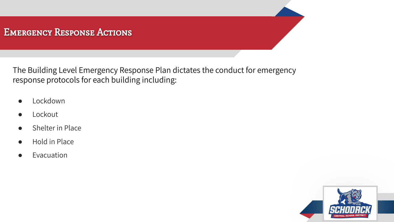## Emergency Response Actions

The Building Level Emergency Response Plan dictates the conduct for emergency response protocols for each building including:

- Lockdown
- Lockout
- **Shelter in Place**
- **Hold in Place**
- **Evacuation**

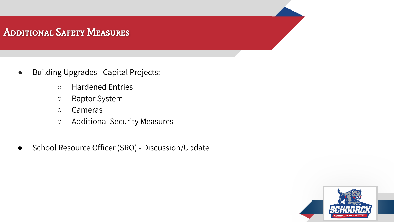## Additional Safety Measures

- Building Upgrades Capital Projects:
	- Hardened Entries
	- Raptor System
	- Cameras
	- Additional Security Measures
- School Resource Officer (SRO) Discussion/Update

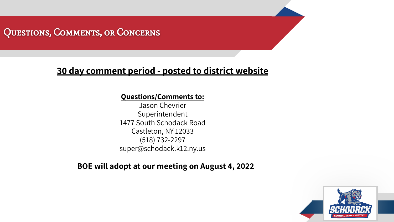## Questions, Comments, or Concerns

## **30 day comment period - posted to district website**

#### **Questions/Comments to:**

Jason Chevrier Superintendent 1477 South Schodack Road Castleton, NY 12033 (518) 732-2297 super@schodack.k12.ny.us

#### **BOE will adopt at our meeting on August 4, 2022**